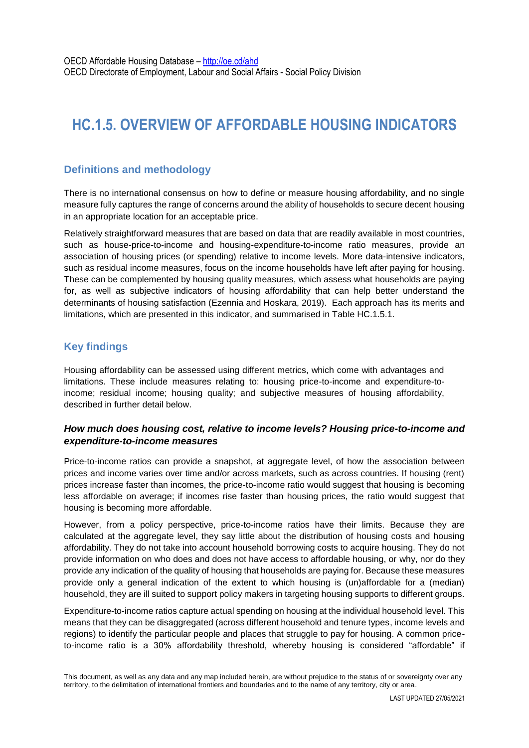# **HC.1.5. OVERVIEW OF AFFORDABLE HOUSING INDICATORS**

# **Definitions and methodology**

There is no international consensus on how to define or measure housing affordability, and no single measure fully captures the range of concerns around the ability of households to secure decent housing in an appropriate location for an acceptable price.

Relatively straightforward measures that are based on data that are readily available in most countries, such as house-price-to-income and housing-expenditure-to-income ratio measures, provide an association of housing prices (or spending) relative to income levels. More data-intensive indicators, such as residual income measures, focus on the income households have left after paying for housing. These can be complemented by housing quality measures, which assess what households are paying for, as well as subjective indicators of housing affordability that can help better understand the determinants of housing satisfaction (Ezennia and Hoskara, 2019). Each approach has its merits and limitations, which are presented in this indicator, and summarised in Table HC.1.5.1.

# **Key findings**

Housing affordability can be assessed using different metrics, which come with advantages and limitations. These include measures relating to: housing price-to-income and expenditure-toincome; residual income; housing quality; and subjective measures of housing affordability, described in further detail below.

#### *How much does housing cost, relative to income levels? Housing price-to-income and expenditure-to-income measures*

Price-to-income ratios can provide a snapshot, at aggregate level, of how the association between prices and income varies over time and/or across markets, such as across countries. If housing (rent) prices increase faster than incomes, the price-to-income ratio would suggest that housing is becoming less affordable on average; if incomes rise faster than housing prices, the ratio would suggest that housing is becoming more affordable.

However, from a policy perspective, price-to-income ratios have their limits. Because they are calculated at the aggregate level, they say little about the distribution of housing costs and housing affordability. They do not take into account household borrowing costs to acquire housing. They do not provide information on who does and does not have access to affordable housing, or why, nor do they provide any indication of the quality of housing that households are paying for. Because these measures provide only a general indication of the extent to which housing is (un)affordable for a (median) household, they are ill suited to support policy makers in targeting housing supports to different groups.

Expenditure-to-income ratios capture actual spending on housing at the individual household level. This means that they can be disaggregated (across different household and tenure types, income levels and regions) to identify the particular people and places that struggle to pay for housing. A common priceto-income ratio is a 30% affordability threshold, whereby housing is considered "affordable" if

This document, as well as any data and any map included herein, are without prejudice to the status of or sovereignty over any territory, to the delimitation of international frontiers and boundaries and to the name of any territory, city or area.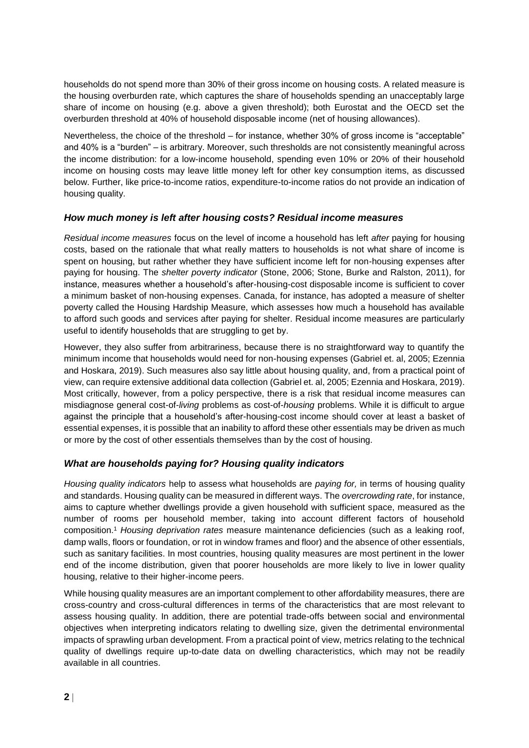households do not spend more than 30% of their gross income on housing costs. A related measure is the housing overburden rate, which captures the share of households spending an unacceptably large share of income on housing (e.g. above a given threshold); both Eurostat and the OECD set the overburden threshold at 40% of household disposable income (net of housing allowances).

Nevertheless, the choice of the threshold – for instance, whether 30% of gross income is "acceptable" and 40% is a "burden" – is arbitrary. Moreover, such thresholds are not consistently meaningful across the income distribution: for a low-income household, spending even 10% or 20% of their household income on housing costs may leave little money left for other key consumption items, as discussed below. Further, like price-to-income ratios, expenditure-to-income ratios do not provide an indication of housing quality.

#### *How much money is left after housing costs? Residual income measures*

*Residual income measures* focus on the level of income a household has left *after* paying for housing costs, based on the rationale that what really matters to households is not what share of income is spent on housing, but rather whether they have sufficient income left for non-housing expenses after paying for housing. The *shelter poverty indicator* (Stone, 2006; Stone, Burke and Ralston, 2011), for instance, measures whether a household's after-housing-cost disposable income is sufficient to cover a minimum basket of non-housing expenses. Canada, for instance, has adopted a measure of shelter poverty called the Housing Hardship Measure, which assesses how much a household has available to afford such goods and services after paying for shelter. Residual income measures are particularly useful to identify households that are struggling to get by.

However, they also suffer from arbitrariness, because there is no straightforward way to quantify the minimum income that households would need for non-housing expenses (Gabriel et. al, 2005; Ezennia and Hoskara, 2019). Such measures also say little about housing quality, and, from a practical point of view, can require extensive additional data collection (Gabriel et. al, 2005; Ezennia and Hoskara, 2019). Most critically, however, from a policy perspective, there is a risk that residual income measures can misdiagnose general cost-of-*living* problems as cost-of-*housing* problems. While it is difficult to argue against the principle that a household's after-housing-cost income should cover at least a basket of essential expenses, it is possible that an inability to afford these other essentials may be driven as much or more by the cost of other essentials themselves than by the cost of housing.

#### *What are households paying for? Housing quality indicators*

*Housing quality indicators* help to assess what households are *paying for,* in terms of housing quality and standards. Housing quality can be measured in different ways. The *overcrowding rate*, for instance, aims to capture whether dwellings provide a given household with sufficient space, measured as the number of rooms per household member, taking into account different factors of household composition.<sup>1</sup> *Housing deprivation rates* measure maintenance deficiencies (such as a leaking roof, damp walls, floors or foundation, or rot in window frames and floor) and the absence of other essentials, such as sanitary facilities. In most countries, housing quality measures are most pertinent in the lower end of the income distribution, given that poorer households are more likely to live in lower quality housing, relative to their higher-income peers.

While housing quality measures are an important complement to other affordability measures, there are cross-country and cross-cultural differences in terms of the characteristics that are most relevant to assess housing quality. In addition, there are potential trade-offs between social and environmental objectives when interpreting indicators relating to dwelling size, given the detrimental environmental impacts of sprawling urban development. From a practical point of view, metrics relating to the technical quality of dwellings require up-to-date data on dwelling characteristics, which may not be readily available in all countries.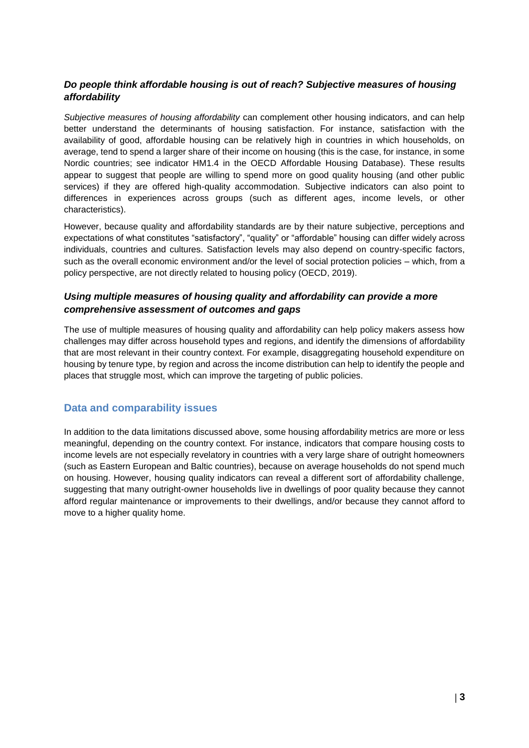# *Do people think affordable housing is out of reach? Subjective measures of housing affordability*

*Subjective measures of housing affordability* can complement other housing indicators, and can help better understand the determinants of housing satisfaction. For instance, satisfaction with the availability of good, affordable housing can be relatively high in countries in which households, on average, tend to spend a larger share of their income on housing (this is the case, for instance, in some Nordic countries; see indicator HM1.4 in the OECD Affordable Housing Database). These results appear to suggest that people are willing to spend more on good quality housing (and other public services) if they are offered high-quality accommodation. Subjective indicators can also point to differences in experiences across groups (such as different ages, income levels, or other characteristics).

However, because quality and affordability standards are by their nature subjective, perceptions and expectations of what constitutes "satisfactory", "quality" or "affordable" housing can differ widely across individuals, countries and cultures. Satisfaction levels may also depend on country-specific factors, such as the overall economic environment and/or the level of social protection policies – which, from a policy perspective, are not directly related to housing policy (OECD, 2019).

#### *Using multiple measures of housing quality and affordability can provide a more comprehensive assessment of outcomes and gaps*

The use of multiple measures of housing quality and affordability can help policy makers assess how challenges may differ across household types and regions, and identify the dimensions of affordability that are most relevant in their country context. For example, disaggregating household expenditure on housing by tenure type, by region and across the income distribution can help to identify the people and places that struggle most, which can improve the targeting of public policies.

# **Data and comparability issues**

In addition to the data limitations discussed above, some housing affordability metrics are more or less meaningful, depending on the country context. For instance, indicators that compare housing costs to income levels are not especially revelatory in countries with a very large share of outright homeowners (such as Eastern European and Baltic countries), because on average households do not spend much on housing. However, housing quality indicators can reveal a different sort of affordability challenge, suggesting that many outright-owner households live in dwellings of poor quality because they cannot afford regular maintenance or improvements to their dwellings, and/or because they cannot afford to move to a higher quality home.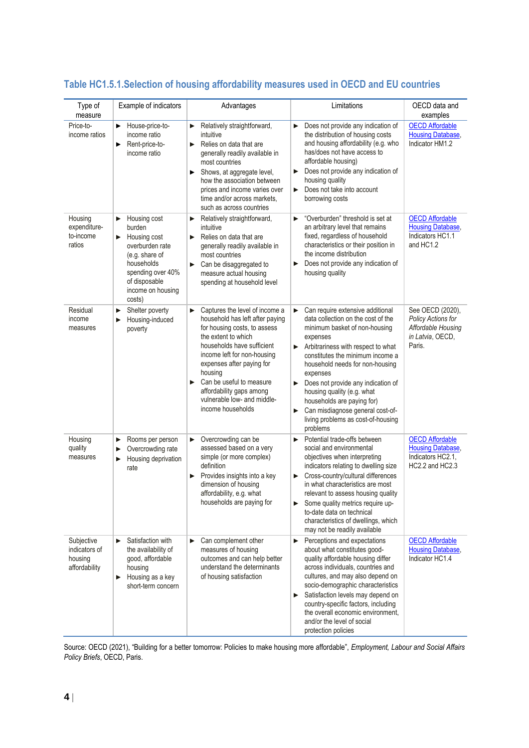| Type of<br>measure                                      | Example of indicators                                                                                                                                                    | Advantages                                                                                                                                                                                                                                                                                                                                          | Limitations                                                                                                                                                                                                                                                                                                                                                                                                                                              | OECD data and<br>examples                                                                  |
|---------------------------------------------------------|--------------------------------------------------------------------------------------------------------------------------------------------------------------------------|-----------------------------------------------------------------------------------------------------------------------------------------------------------------------------------------------------------------------------------------------------------------------------------------------------------------------------------------------------|----------------------------------------------------------------------------------------------------------------------------------------------------------------------------------------------------------------------------------------------------------------------------------------------------------------------------------------------------------------------------------------------------------------------------------------------------------|--------------------------------------------------------------------------------------------|
| Price-to-<br>income ratios                              | House-price-to-<br>▶<br>income ratio<br>Rent-price-to-<br>▶<br>income ratio                                                                                              | Relatively straightforward,<br>▶<br>intuitive<br>Relies on data that are<br>▶<br>generally readily available in<br>most countries<br>Shows, at aggregate level,<br>►<br>how the association between<br>prices and income varies over<br>time and/or across markets,<br>such as across countries                                                     | Does not provide any indication of<br>the distribution of housing costs<br>and housing affordability (e.g. who<br>has/does not have access to<br>affordable housing)<br>Does not provide any indication of<br>▶<br>housing quality<br>Does not take into account<br>▶<br>borrowing costs                                                                                                                                                                 | <b>OECD Affordable</b><br><b>Housing Database,</b><br>Indicator HM1.2                      |
| Housing<br>expenditure-<br>to-income<br>ratios          | Housing cost<br>▶<br>burden<br>Housing cost<br>▶<br>overburden rate<br>(e.g. share of<br>households<br>spending over 40%<br>of disposable<br>income on housing<br>costs) | Relatively straightforward,<br>▶<br>intuitive<br>Relies on data that are<br>▶<br>generally readily available in<br>most countries<br>Can be disaggregated to<br>▶<br>measure actual housing<br>spending at household level                                                                                                                          | "Overburden" threshold is set at<br>▶<br>an arbitrary level that remains<br>fixed, regardless of household<br>characteristics or their position in<br>the income distribution<br>Does not provide any indication of<br>▶<br>housing quality                                                                                                                                                                                                              | <b>OECD Affordable</b><br><b>Housing Database,</b><br>Indicators HC1.1<br>and HC1.2        |
| Residual<br>income<br>measures                          | Shelter poverty<br>▶<br>Housing-induced<br>▶<br>poverty                                                                                                                  | Captures the level of income a<br>▶<br>household has left after paying<br>for housing costs, to assess<br>the extent to which<br>households have sufficient<br>income left for non-housing<br>expenses after paying for<br>housing<br>Can be useful to measure<br>▶<br>affordability gaps among<br>vulnerable low- and middle-<br>income households | Can require extensive additional<br>▶<br>data collection on the cost of the<br>minimum basket of non-housing<br>expenses<br>Arbitrariness with respect to what<br>►<br>constitutes the minimum income a<br>household needs for non-housing<br>expenses<br>Does not provide any indication of<br>▶<br>housing quality (e.g. what<br>households are paying for)<br>Can misdiagnose general cost-of-<br>▶<br>living problems as cost-of-housing<br>problems | See OECD (2020),<br>Policy Actions for<br>Affordable Housing<br>in Latvia, OECD,<br>Paris. |
| Housing<br>quality<br>measures                          | Rooms per person<br>▶<br>Overcrowding rate<br>▶<br>Housing deprivation<br>▶<br>rate                                                                                      | Overcrowding can be<br>▶<br>assessed based on a very<br>simple (or more complex)<br>definition<br>Provides insights into a key<br>dimension of housing<br>affordability, e.g. what<br>households are paying for                                                                                                                                     | Potential trade-offs between<br>social and environmental<br>objectives when interpreting<br>indicators relating to dwelling size<br>Cross-country/cultural differences<br>in what characteristics are most<br>relevant to assess housing quality<br>Some quality metrics require up-<br>to-date data on technical<br>characteristics of dwellings, which<br>may not be readily available                                                                 | <b>OECD Affordable</b><br><b>Housing Database,</b><br>Indicators HC2.1,<br>HC2.2 and HC2.3 |
| Subjective<br>indicators of<br>housing<br>affordability | Satisfaction with<br>▶<br>the availability of<br>good, affordable<br>housing<br>Housing as a key<br>▶<br>short-term concern                                              | Can complement other<br>▶<br>measures of housing<br>outcomes and can help better<br>understand the determinants<br>of housing satisfaction                                                                                                                                                                                                          | Perceptions and expectations<br>▶<br>about what constitutes good-<br>quality affordable housing differ<br>across individuals, countries and<br>cultures, and may also depend on<br>socio-demographic characteristics<br>Satisfaction levels may depend on<br>▶<br>country-specific factors, including<br>the overall economic environment,<br>and/or the level of social<br>protection policies                                                          | <b>OECD Affordable</b><br><b>Housing Database,</b><br>Indicator HC1.4                      |

# **Table HC1.5.1.Selection of housing affordability measures used in OECD and EU countries**

Source: OECD (2021), "Building for a better tomorrow: Policies to make housing more affordable", *Employment, Labour and Social Affairs Policy Briefs*, OECD, Paris.